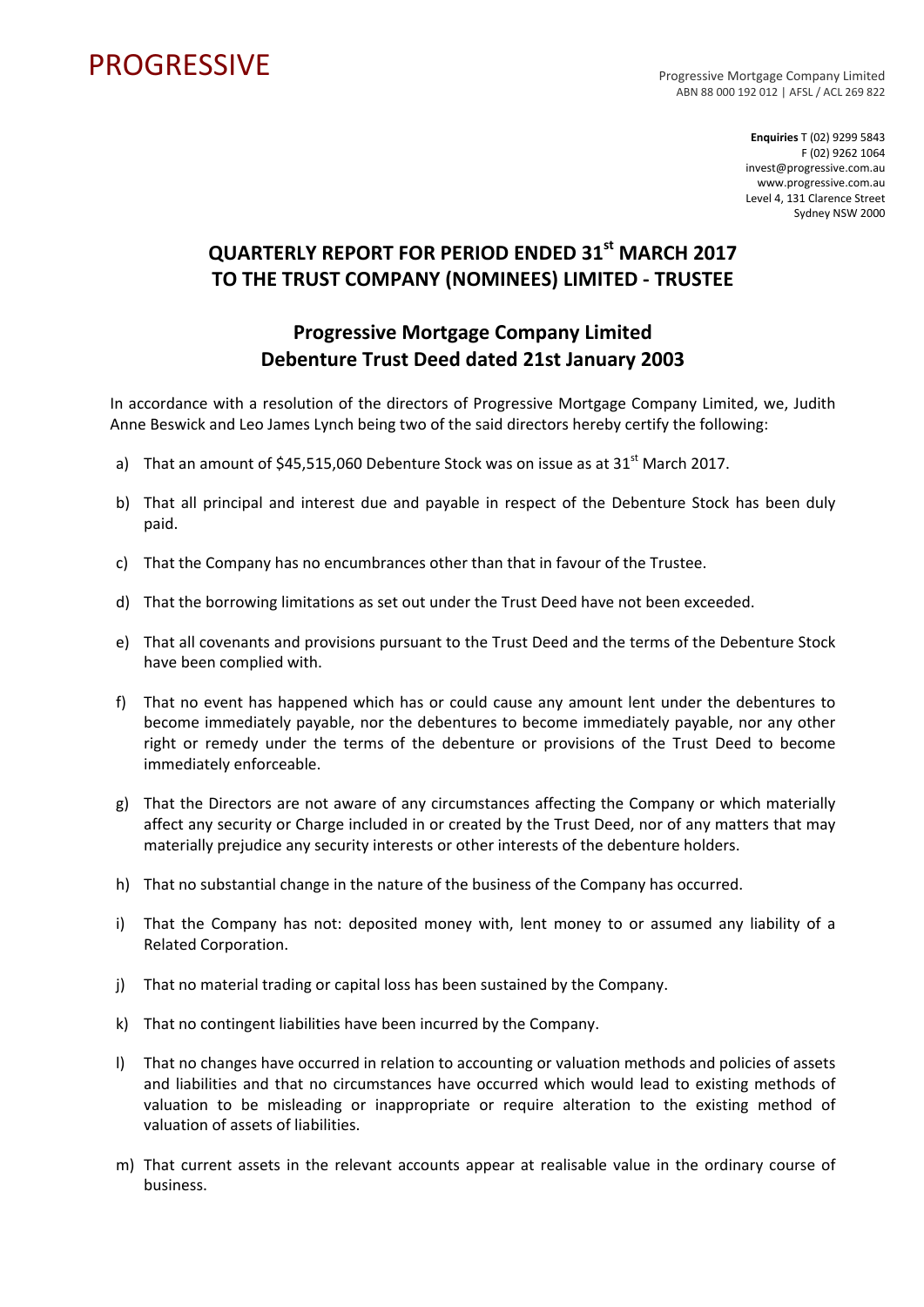## PROGRESSIVE PROGRESSIVE

ABN 88 000 192 012 | AFSL / ACL 269 822

**Enquiries** T (02) 9299 5843 F (02) 9262 1064 invest@progressive.com.au www.progressive.com.au Level 4, 131 Clarence Street Sydney NSW 2000

## **QUARTERLY REPORT FOR PERIOD ENDED 31st MARCH 2017 TO THE TRUST COMPANY (NOMINEES) LIMITED ‐ TRUSTEE**

## **Progressive Mortgage Company Limited Debenture Trust Deed dated 21st January 2003**

In accordance with a resolution of the directors of Progressive Mortgage Company Limited, we, Judith Anne Beswick and Leo James Lynch being two of the said directors hereby certify the following:

- a) That an amount of  $$45,515,060$  Debenture Stock was on issue as at  $31<sup>st</sup>$  March 2017.
- b) That all principal and interest due and payable in respect of the Debenture Stock has been duly paid.
- c) That the Company has no encumbrances other than that in favour of the Trustee.
- d) That the borrowing limitations as set out under the Trust Deed have not been exceeded.
- e) That all covenants and provisions pursuant to the Trust Deed and the terms of the Debenture Stock have been complied with.
- f) That no event has happened which has or could cause any amount lent under the debentures to become immediately payable, nor the debentures to become immediately payable, nor any other right or remedy under the terms of the debenture or provisions of the Trust Deed to become immediately enforceable.
- g) That the Directors are not aware of any circumstances affecting the Company or which materially affect any security or Charge included in or created by the Trust Deed, nor of any matters that may materially prejudice any security interests or other interests of the debenture holders.
- h) That no substantial change in the nature of the business of the Company has occurred.
- i) That the Company has not: deposited money with, lent money to or assumed any liability of a Related Corporation.
- j) That no material trading or capital loss has been sustained by the Company.
- k) That no contingent liabilities have been incurred by the Company.
- l) That no changes have occurred in relation to accounting or valuation methods and policies of assets and liabilities and that no circumstances have occurred which would lead to existing methods of valuation to be misleading or inappropriate or require alteration to the existing method of valuation of assets of liabilities.
- m) That current assets in the relevant accounts appear at realisable value in the ordinary course of business.